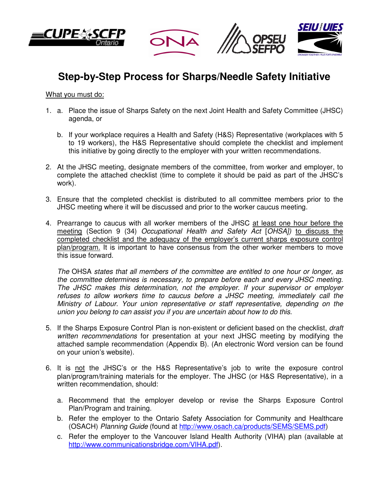







## **Step-by-Step Process for Sharps/Needle Safety Initiative**

## What you must do:

- 1. a. Place the issue of Sharps Safety on the next Joint Health and Safety Committee (JHSC) agenda, or
	- b. If your workplace requires a Health and Safety (H&S) Representative (workplaces with 5 to 19 workers), the H&S Representative should complete the checklist and implement this initiative by going directly to the employer with your written recommendations.
- 2. At the JHSC meeting, designate members of the committee, from worker and employer, to complete the attached checklist (time to complete it should be paid as part of the JHSC's work).
- 3. Ensure that the completed checklist is distributed to all committee members prior to the JHSC meeting where it will be discussed and prior to the worker caucus meeting.
- 4. Prearrange to caucus with all worker members of the JHSC at least one hour before the meeting (Section 9 (34) Occupational Health and Safety Act [OHSA]) to discuss the completed checklist and the adequacy of the employer's current sharps exposure control plan/program. It is important to have consensus from the other worker members to move this issue forward.

The OHSA states that all members of the committee are entitled to one hour or longer, as the committee determines is necessary, to prepare before each and every JHSC meeting. The JHSC makes this determination, not the employer. If your supervisor or employer refuses to allow workers time to caucus before a JHSC meeting, immediately call the Ministry of Labour. Your union representative or staff representative, depending on the union you belong to can assist you if you are uncertain about how to do this.

- 5. If the Sharps Exposure Control Plan is non-existent or deficient based on the checklist, draft written recommendations for presentation at your next JHSC meeting by modifying the attached sample recommendation (Appendix B). (An electronic Word version can be found on your union's website).
- 6. It is not the JHSC's or the H&S Representative's job to write the exposure control plan/program/training materials for the employer. The JHSC (or H&S Representative), in a written recommendation, should:
	- a. Recommend that the employer develop or revise the Sharps Exposure Control Plan/Program and training.
	- b. Refer the employer to the Ontario Safety Association for Community and Healthcare (OSACH) Planning Guide (found at http://www.osach.ca/products/SEMS/SEMS.pdf)
	- c. Refer the employer to the Vancouver Island Health Authority (VIHA) plan (available at http://www.communicationsbridge.com/VIHA.pdf).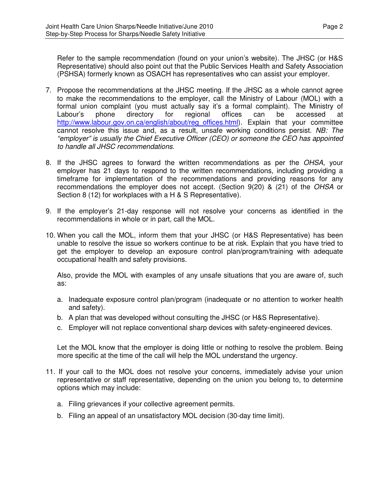Refer to the sample recommendation (found on your union's website). The JHSC (or H&S Representative) should also point out that the Public Services Health and Safety Association (PSHSA) formerly known as OSACH has representatives who can assist your employer.

- 7. Propose the recommendations at the JHSC meeting. If the JHSC as a whole cannot agree to make the recommendations to the employer, call the Ministry of Labour (MOL) with a formal union complaint (you must actually say it's a formal complaint). The Ministry of Labour's phone directory for regional offices can be accessed at http://www.labour.gov.on.ca/english/about/reg\_offices.html). Explain that your committee cannot resolve this issue and, as a result, unsafe working conditions persist. NB: The "employer" is usually the Chief Executive Officer (CEO) or someone the CEO has appointed to handle all JHSC recommendations.
- 8. If the JHSC agrees to forward the written recommendations as per the OHSA, your employer has 21 days to respond to the written recommendations, including providing a timeframe for implementation of the recommendations and providing reasons for any recommendations the employer does not accept. (Section 9(20) & (21) of the OHSA or Section 8 (12) for workplaces with a H & S Representative).
- 9. If the employer's 21-day response will not resolve your concerns as identified in the recommendations in whole or in part, call the MOL.
- 10. When you call the MOL, inform them that your JHSC (or H&S Representative) has been unable to resolve the issue so workers continue to be at risk. Explain that you have tried to get the employer to develop an exposure control plan/program/training with adequate occupational health and safety provisions.

Also, provide the MOL with examples of any unsafe situations that you are aware of, such as:

- a. Inadequate exposure control plan/program (inadequate or no attention to worker health and safety).
- b. A plan that was developed without consulting the JHSC (or H&S Representative).
- c. Employer will not replace conventional sharp devices with safety-engineered devices.

Let the MOL know that the employer is doing little or nothing to resolve the problem. Being more specific at the time of the call will help the MOL understand the urgency.

- 11. If your call to the MOL does not resolve your concerns, immediately advise your union representative or staff representative, depending on the union you belong to, to determine options which may include:
	- a. Filing grievances if your collective agreement permits.
	- b. Filing an appeal of an unsatisfactory MOL decision (30-day time limit).